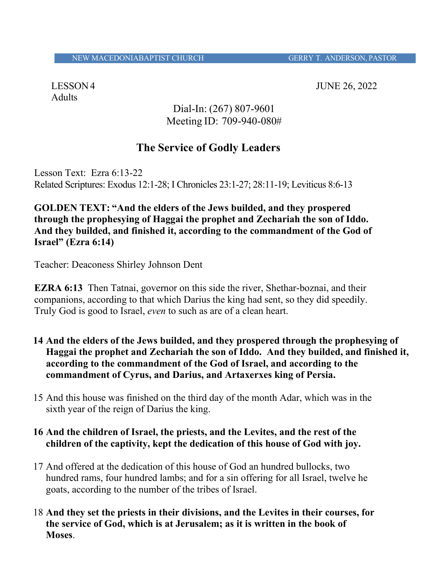Adults

LESSON 4 JUNE 26, 2022

Dial-In: (267) 807-9601 Meeting ID: 709-940-080#

# **The Service of Godly Leaders**

Lesson Text: Ezra 6:13-22 Related Scriptures: Exodus 12:1-28; I Chronicles 23:1-27; 28:11-19; Leviticus 8:6-13

**GOLDEN TEXT: "And the elders of the Jews builded, and they prospered through the prophesying of Haggai the prophet and Zechariah the son of Iddo. And they builded, and finished it, according to the commandment of the God of Israel" (Ezra 6:14)**

Teacher: Deaconess Shirley Johnson Dent

**EZRA 6:13** Then Tatnai, governor on this side the river, Shethar-boznai, and their companions, according to that which Darius the king had sent, so they did speedily. Truly God is good to Israel, *even* to such as are of a clean heart.

- **14 And the elders of the Jews builded, and they prospered through the prophesying of Haggai the prophet and Zechariah the son of Iddo. And they builded, and finished it, according to the commandment of the God of Israel, and according to the commandment of Cyrus, and Darius, and Artaxerxes king of Persia.**
- 15 And this house was finished on the third day of the month Adar, which was in the sixth year of the reign of Darius the king.

## **16 And the children of Israel, the priests, and the Levites, and the rest of the children of the captivity, kept the dedication of this house of God with joy.**

- 17 And offered at the dedication of this house of God an hundred bullocks, two hundred rams, four hundred lambs; and for a sin offering for all Israel, twelve he goats, according to the number of the tribes of Israel.
- 18 **And they set the priests in their divisions, and the Levites in their courses, for the service of God, which is at Jerusalem; as it is written in the book of Moses**.